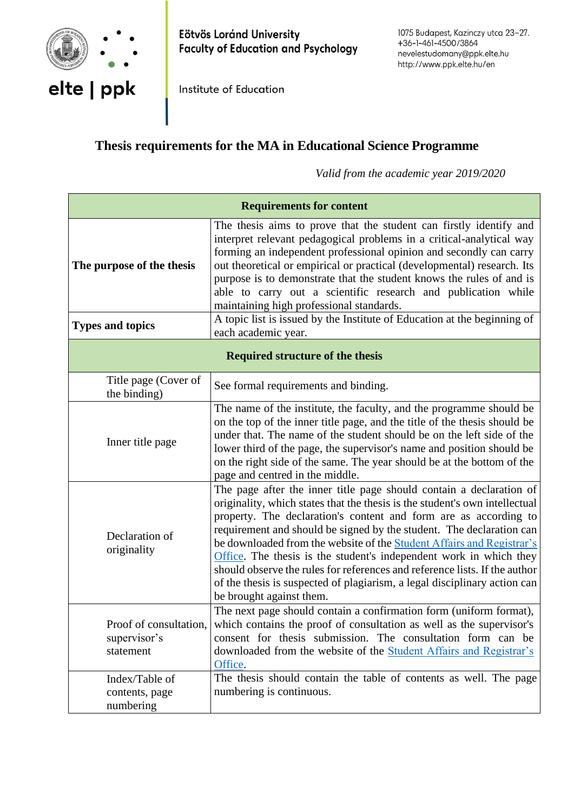

Eötvös Loránd University **Faculty of Education and Psychology** 

Institute of Education

# **Thesis requirements for the MA in Educational Science Programme**

*Valid from the academic year 2019/2020*

| <b>Requirements for content</b>                     |                                                                                                                                                                                                                                                                                                                                                                                                                                                                                                                                                                                                                                      |
|-----------------------------------------------------|--------------------------------------------------------------------------------------------------------------------------------------------------------------------------------------------------------------------------------------------------------------------------------------------------------------------------------------------------------------------------------------------------------------------------------------------------------------------------------------------------------------------------------------------------------------------------------------------------------------------------------------|
| The purpose of the thesis                           | The thesis aims to prove that the student can firstly identify and<br>interpret relevant pedagogical problems in a critical-analytical way<br>forming an independent professional opinion and secondly can carry<br>out theoretical or empirical or practical (developmental) research. Its<br>purpose is to demonstrate that the student knows the rules of and is<br>able to carry out a scientific research and publication while<br>maintaining high professional standards.                                                                                                                                                     |
| <b>Types and topics</b>                             | A topic list is issued by the Institute of Education at the beginning of<br>each academic year.                                                                                                                                                                                                                                                                                                                                                                                                                                                                                                                                      |
| <b>Required structure of the thesis</b>             |                                                                                                                                                                                                                                                                                                                                                                                                                                                                                                                                                                                                                                      |
| Title page (Cover of<br>the binding)                | See formal requirements and binding.                                                                                                                                                                                                                                                                                                                                                                                                                                                                                                                                                                                                 |
| Inner title page                                    | The name of the institute, the faculty, and the programme should be<br>on the top of the inner title page, and the title of the thesis should be<br>under that. The name of the student should be on the left side of the<br>lower third of the page, the supervisor's name and position should be<br>on the right side of the same. The year should be at the bottom of the<br>page and centred in the middle.                                                                                                                                                                                                                      |
| Declaration of<br>originality                       | The page after the inner title page should contain a declaration of<br>originality, which states that the thesis is the student's own intellectual<br>property. The declaration's content and form are as according to<br>requirement and should be signed by the student. The declaration can<br>be downloaded from the website of the Student Affairs and Registrar's<br>Office. The thesis is the student's independent work in which they<br>should observe the rules for references and reference lists. If the author<br>of the thesis is suspected of plagiarism, a legal disciplinary action can<br>be brought against them. |
| Proof of consultation,<br>supervisor's<br>statement | The next page should contain a confirmation form (uniform format),<br>which contains the proof of consultation as well as the supervisor's<br>consent for thesis submission. The consultation form can be<br>downloaded from the website of the Student Affairs and Registrar's<br>Office.                                                                                                                                                                                                                                                                                                                                           |
| Index/Table of<br>contents, page<br>numbering       | The thesis should contain the table of contents as well. The page<br>numbering is continuous.                                                                                                                                                                                                                                                                                                                                                                                                                                                                                                                                        |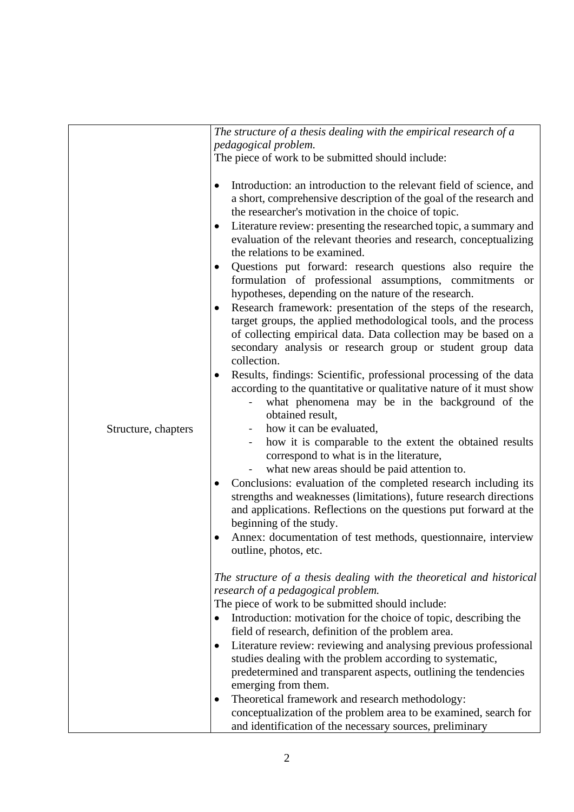|                     | The structure of a thesis dealing with the empirical research of a                                                                                                                                                                                                                                                                                                                                                                                                                                                                                                                                                                                                                                                                                                                                                                                                                                                                                                                                                                                                                                                                                                                                                                                                                                                                                                                                                                                                                                                                                                                                                                                         |
|---------------------|------------------------------------------------------------------------------------------------------------------------------------------------------------------------------------------------------------------------------------------------------------------------------------------------------------------------------------------------------------------------------------------------------------------------------------------------------------------------------------------------------------------------------------------------------------------------------------------------------------------------------------------------------------------------------------------------------------------------------------------------------------------------------------------------------------------------------------------------------------------------------------------------------------------------------------------------------------------------------------------------------------------------------------------------------------------------------------------------------------------------------------------------------------------------------------------------------------------------------------------------------------------------------------------------------------------------------------------------------------------------------------------------------------------------------------------------------------------------------------------------------------------------------------------------------------------------------------------------------------------------------------------------------------|
|                     | pedagogical problem.                                                                                                                                                                                                                                                                                                                                                                                                                                                                                                                                                                                                                                                                                                                                                                                                                                                                                                                                                                                                                                                                                                                                                                                                                                                                                                                                                                                                                                                                                                                                                                                                                                       |
|                     | The piece of work to be submitted should include:                                                                                                                                                                                                                                                                                                                                                                                                                                                                                                                                                                                                                                                                                                                                                                                                                                                                                                                                                                                                                                                                                                                                                                                                                                                                                                                                                                                                                                                                                                                                                                                                          |
| Structure, chapters | Introduction: an introduction to the relevant field of science, and<br>a short, comprehensive description of the goal of the research and<br>the researcher's motivation in the choice of topic.<br>Literature review: presenting the researched topic, a summary and<br>evaluation of the relevant theories and research, conceptualizing<br>the relations to be examined.<br>Questions put forward: research questions also require the<br>٠<br>formulation of professional assumptions, commitments or<br>hypotheses, depending on the nature of the research.<br>Research framework: presentation of the steps of the research,<br>$\bullet$<br>target groups, the applied methodological tools, and the process<br>of collecting empirical data. Data collection may be based on a<br>secondary analysis or research group or student group data<br>collection.<br>Results, findings: Scientific, professional processing of the data<br>according to the quantitative or qualitative nature of it must show<br>what phenomena may be in the background of the<br>$\qquad \qquad \blacksquare$<br>obtained result,<br>how it can be evaluated,<br>how it is comparable to the extent the obtained results<br>correspond to what is in the literature,<br>what new areas should be paid attention to.<br>Conclusions: evaluation of the completed research including its<br>$\bullet$<br>strengths and weaknesses (limitations), future research directions<br>and applications. Reflections on the questions put forward at the<br>beginning of the study.<br>Annex: documentation of test methods, questionnaire, interview<br>outline, photos, etc. |
|                     | The structure of a thesis dealing with the theoretical and historical<br>research of a pedagogical problem.<br>The piece of work to be submitted should include:<br>Introduction: motivation for the choice of topic, describing the                                                                                                                                                                                                                                                                                                                                                                                                                                                                                                                                                                                                                                                                                                                                                                                                                                                                                                                                                                                                                                                                                                                                                                                                                                                                                                                                                                                                                       |
|                     | field of research, definition of the problem area.                                                                                                                                                                                                                                                                                                                                                                                                                                                                                                                                                                                                                                                                                                                                                                                                                                                                                                                                                                                                                                                                                                                                                                                                                                                                                                                                                                                                                                                                                                                                                                                                         |
|                     | Literature review: reviewing and analysing previous professional<br>$\bullet$                                                                                                                                                                                                                                                                                                                                                                                                                                                                                                                                                                                                                                                                                                                                                                                                                                                                                                                                                                                                                                                                                                                                                                                                                                                                                                                                                                                                                                                                                                                                                                              |
|                     | studies dealing with the problem according to systematic,<br>predetermined and transparent aspects, outlining the tendencies<br>emerging from them.                                                                                                                                                                                                                                                                                                                                                                                                                                                                                                                                                                                                                                                                                                                                                                                                                                                                                                                                                                                                                                                                                                                                                                                                                                                                                                                                                                                                                                                                                                        |
|                     | Theoretical framework and research methodology:                                                                                                                                                                                                                                                                                                                                                                                                                                                                                                                                                                                                                                                                                                                                                                                                                                                                                                                                                                                                                                                                                                                                                                                                                                                                                                                                                                                                                                                                                                                                                                                                            |
|                     | conceptualization of the problem area to be examined, search for                                                                                                                                                                                                                                                                                                                                                                                                                                                                                                                                                                                                                                                                                                                                                                                                                                                                                                                                                                                                                                                                                                                                                                                                                                                                                                                                                                                                                                                                                                                                                                                           |
|                     | and identification of the necessary sources, preliminary                                                                                                                                                                                                                                                                                                                                                                                                                                                                                                                                                                                                                                                                                                                                                                                                                                                                                                                                                                                                                                                                                                                                                                                                                                                                                                                                                                                                                                                                                                                                                                                                   |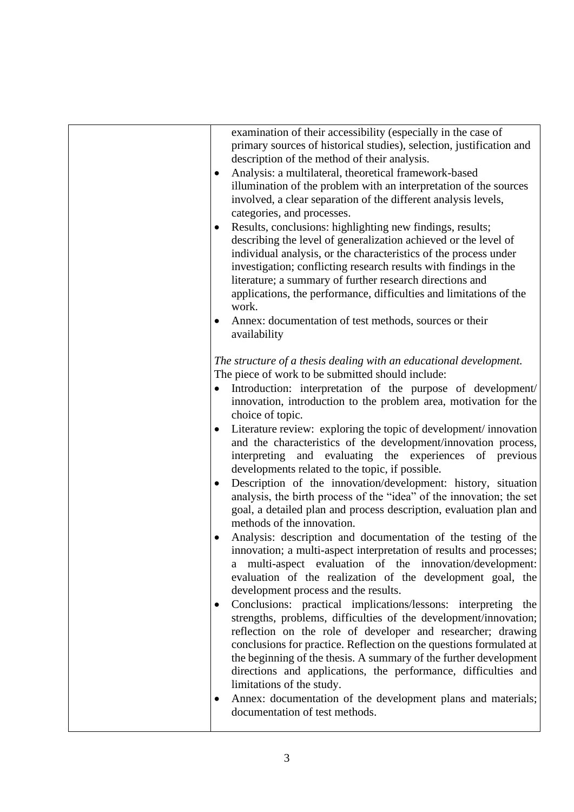| examination of their accessibility (especially in the case of<br>primary sources of historical studies), selection, justification and<br>description of the method of their analysis.<br>Analysis: a multilateral, theoretical framework-based<br>illumination of the problem with an interpretation of the sources<br>involved, a clear separation of the different analysis levels,<br>categories, and processes.                                                                                                                                                                                                                                                                                                                                                                                                                                                        |
|----------------------------------------------------------------------------------------------------------------------------------------------------------------------------------------------------------------------------------------------------------------------------------------------------------------------------------------------------------------------------------------------------------------------------------------------------------------------------------------------------------------------------------------------------------------------------------------------------------------------------------------------------------------------------------------------------------------------------------------------------------------------------------------------------------------------------------------------------------------------------|
| Results, conclusions: highlighting new findings, results;<br>describing the level of generalization achieved or the level of<br>individual analysis, or the characteristics of the process under<br>investigation; conflicting research results with findings in the<br>literature; a summary of further research directions and<br>applications, the performance, difficulties and limitations of the<br>work.                                                                                                                                                                                                                                                                                                                                                                                                                                                            |
| Annex: documentation of test methods, sources or their<br>$\bullet$<br>availability                                                                                                                                                                                                                                                                                                                                                                                                                                                                                                                                                                                                                                                                                                                                                                                        |
| The structure of a thesis dealing with an educational development.<br>The piece of work to be submitted should include:<br>Introduction: interpretation of the purpose of development/<br>innovation, introduction to the problem area, motivation for the<br>choice of topic.<br>Literature review: exploring the topic of development/innovation<br>and the characteristics of the development/innovation process,<br>interpreting and evaluating the experiences of previous<br>developments related to the topic, if possible.<br>Description of the innovation/development: history, situation<br>$\bullet$<br>analysis, the birth process of the "idea" of the innovation; the set<br>goal, a detailed plan and process description, evaluation plan and<br>methods of the innovation.<br>Analysis: description and documentation of the testing of the<br>$\bullet$ |
| innovation; a multi-aspect interpretation of results and processes;<br>a multi-aspect evaluation of the innovation/development:<br>evaluation of the realization of the development goal, the<br>development process and the results.<br>Conclusions: practical implications/lessons: interpreting the<br>$\bullet$<br>strengths, problems, difficulties of the development/innovation;<br>reflection on the role of developer and researcher; drawing<br>conclusions for practice. Reflection on the questions formulated at<br>the beginning of the thesis. A summary of the further development<br>directions and applications, the performance, difficulties and<br>limitations of the study.<br>Annex: documentation of the development plans and materials;<br>٠<br>documentation of test methods.                                                                   |
|                                                                                                                                                                                                                                                                                                                                                                                                                                                                                                                                                                                                                                                                                                                                                                                                                                                                            |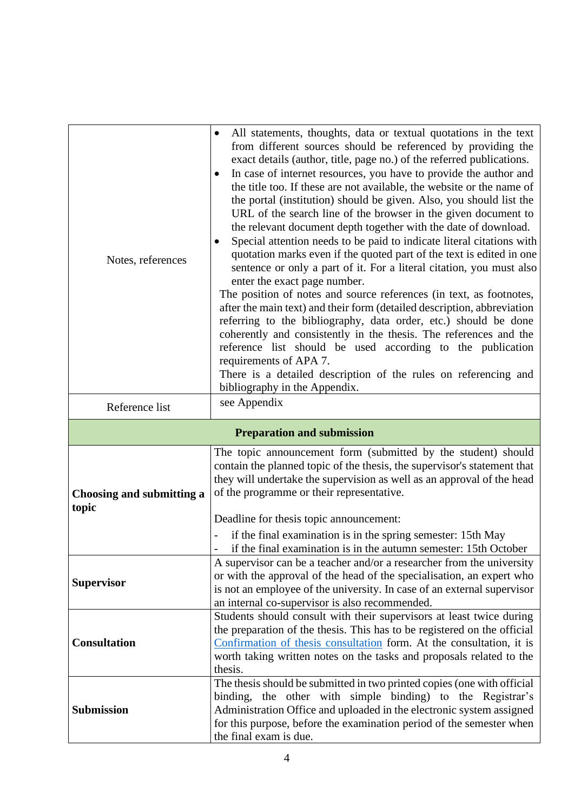| Notes, references                  | All statements, thoughts, data or textual quotations in the text<br>$\bullet$<br>from different sources should be referenced by providing the<br>exact details (author, title, page no.) of the referred publications.<br>In case of internet resources, you have to provide the author and<br>$\bullet$<br>the title too. If these are not available, the website or the name of<br>the portal (institution) should be given. Also, you should list the<br>URL of the search line of the browser in the given document to<br>the relevant document depth together with the date of download.<br>Special attention needs to be paid to indicate literal citations with<br>quotation marks even if the quoted part of the text is edited in one<br>sentence or only a part of it. For a literal citation, you must also<br>enter the exact page number.<br>The position of notes and source references (in text, as footnotes,<br>after the main text) and their form (detailed description, abbreviation<br>referring to the bibliography, data order, etc.) should be done<br>coherently and consistently in the thesis. The references and the<br>reference list should be used according to the publication<br>requirements of APA 7.<br>There is a detailed description of the rules on referencing and<br>bibliography in the Appendix. |
|------------------------------------|----------------------------------------------------------------------------------------------------------------------------------------------------------------------------------------------------------------------------------------------------------------------------------------------------------------------------------------------------------------------------------------------------------------------------------------------------------------------------------------------------------------------------------------------------------------------------------------------------------------------------------------------------------------------------------------------------------------------------------------------------------------------------------------------------------------------------------------------------------------------------------------------------------------------------------------------------------------------------------------------------------------------------------------------------------------------------------------------------------------------------------------------------------------------------------------------------------------------------------------------------------------------------------------------------------------------------------------------|
| Reference list                     | see Appendix                                                                                                                                                                                                                                                                                                                                                                                                                                                                                                                                                                                                                                                                                                                                                                                                                                                                                                                                                                                                                                                                                                                                                                                                                                                                                                                                 |
| <b>Preparation and submission</b>  |                                                                                                                                                                                                                                                                                                                                                                                                                                                                                                                                                                                                                                                                                                                                                                                                                                                                                                                                                                                                                                                                                                                                                                                                                                                                                                                                              |
| Choosing and submitting a<br>topic | The topic announcement form (submitted by the student) should<br>contain the planned topic of the thesis, the supervisor's statement that<br>they will undertake the supervision as well as an approval of the head<br>of the programme or their representative.<br>Deadline for thesis topic announcement:<br>if the final examination is in the spring semester: 15th May<br>if the final examination is in the autumn semester: 15th October                                                                                                                                                                                                                                                                                                                                                                                                                                                                                                                                                                                                                                                                                                                                                                                                                                                                                              |
| <b>Supervisor</b>                  | A supervisor can be a teacher and/or a researcher from the university<br>or with the approval of the head of the specialisation, an expert who<br>is not an employee of the university. In case of an external supervisor<br>an internal co-supervisor is also recommended.                                                                                                                                                                                                                                                                                                                                                                                                                                                                                                                                                                                                                                                                                                                                                                                                                                                                                                                                                                                                                                                                  |
| <b>Consultation</b>                | Students should consult with their supervisors at least twice during<br>the preparation of the thesis. This has to be registered on the official<br>Confirmation of thesis consultation form. At the consultation, it is<br>worth taking written notes on the tasks and proposals related to the<br>thesis.                                                                                                                                                                                                                                                                                                                                                                                                                                                                                                                                                                                                                                                                                                                                                                                                                                                                                                                                                                                                                                  |
| <b>Submission</b>                  | The thesis should be submitted in two printed copies (one with official<br>binding, the other with simple binding) to the Registrar's<br>Administration Office and uploaded in the electronic system assigned<br>for this purpose, before the examination period of the semester when<br>the final exam is due.                                                                                                                                                                                                                                                                                                                                                                                                                                                                                                                                                                                                                                                                                                                                                                                                                                                                                                                                                                                                                              |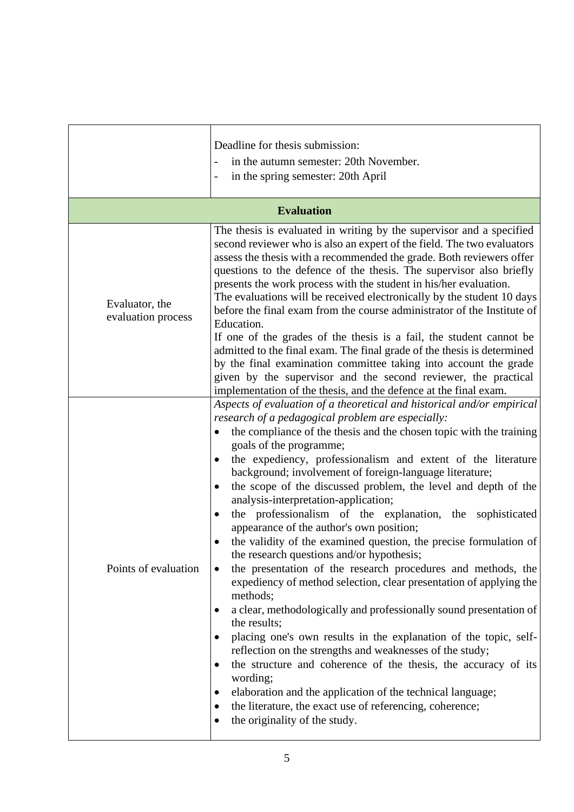|                                      | Deadline for thesis submission:<br>in the autumn semester: 20th November.<br>in the spring semester: 20th April                                                                                                                                                                                                                                                                                                                                                                                                                                                                                                                                                                                                                                                                                                                                                                                                                                                                                                                                                                                                                                                                                                                                                                                                                                                                             |  |
|--------------------------------------|---------------------------------------------------------------------------------------------------------------------------------------------------------------------------------------------------------------------------------------------------------------------------------------------------------------------------------------------------------------------------------------------------------------------------------------------------------------------------------------------------------------------------------------------------------------------------------------------------------------------------------------------------------------------------------------------------------------------------------------------------------------------------------------------------------------------------------------------------------------------------------------------------------------------------------------------------------------------------------------------------------------------------------------------------------------------------------------------------------------------------------------------------------------------------------------------------------------------------------------------------------------------------------------------------------------------------------------------------------------------------------------------|--|
| <b>Evaluation</b>                    |                                                                                                                                                                                                                                                                                                                                                                                                                                                                                                                                                                                                                                                                                                                                                                                                                                                                                                                                                                                                                                                                                                                                                                                                                                                                                                                                                                                             |  |
| Evaluator, the<br>evaluation process | The thesis is evaluated in writing by the supervisor and a specified<br>second reviewer who is also an expert of the field. The two evaluators<br>assess the thesis with a recommended the grade. Both reviewers offer<br>questions to the defence of the thesis. The supervisor also briefly<br>presents the work process with the student in his/her evaluation.<br>The evaluations will be received electronically by the student 10 days<br>before the final exam from the course administrator of the Institute of<br>Education.<br>If one of the grades of the thesis is a fail, the student cannot be                                                                                                                                                                                                                                                                                                                                                                                                                                                                                                                                                                                                                                                                                                                                                                                |  |
|                                      | admitted to the final exam. The final grade of the thesis is determined<br>by the final examination committee taking into account the grade<br>given by the supervisor and the second reviewer, the practical<br>implementation of the thesis, and the defence at the final exam.                                                                                                                                                                                                                                                                                                                                                                                                                                                                                                                                                                                                                                                                                                                                                                                                                                                                                                                                                                                                                                                                                                           |  |
| Points of evaluation                 | Aspects of evaluation of a theoretical and historical and/or empirical<br>research of a pedagogical problem are especially:<br>the compliance of the thesis and the chosen topic with the training<br>goals of the programme;<br>the expediency, professionalism and extent of the literature<br>$\bullet$<br>background; involvement of foreign-language literature;<br>the scope of the discussed problem, the level and depth of the<br>$\bullet$<br>analysis-interpretation-application;<br>the professionalism of the explanation, the sophisticated<br>٠<br>appearance of the author's own position;<br>the validity of the examined question, the precise formulation of<br>the research questions and/or hypothesis;<br>the presentation of the research procedures and methods, the<br>٠<br>expediency of method selection, clear presentation of applying the<br>methods;<br>a clear, methodologically and professionally sound presentation of<br>the results;<br>placing one's own results in the explanation of the topic, self-<br>٠<br>reflection on the strengths and weaknesses of the study;<br>the structure and coherence of the thesis, the accuracy of its<br>٠<br>wording;<br>elaboration and the application of the technical language;<br>$\bullet$<br>the literature, the exact use of referencing, coherence;<br>٠<br>the originality of the study.<br>$\bullet$ |  |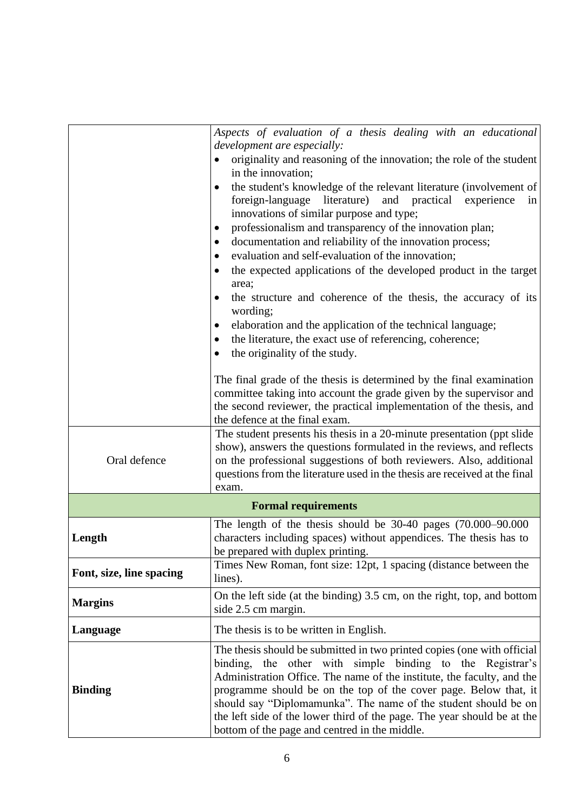|                          | Aspects of evaluation of a thesis dealing with an educational<br>development are especially:                                                                                                                                                                                                                                                                                                                                                                                                                                                                                                                                                                                                                                                               |
|--------------------------|------------------------------------------------------------------------------------------------------------------------------------------------------------------------------------------------------------------------------------------------------------------------------------------------------------------------------------------------------------------------------------------------------------------------------------------------------------------------------------------------------------------------------------------------------------------------------------------------------------------------------------------------------------------------------------------------------------------------------------------------------------|
|                          | originality and reasoning of the innovation; the role of the student                                                                                                                                                                                                                                                                                                                                                                                                                                                                                                                                                                                                                                                                                       |
|                          | in the innovation;<br>the student's knowledge of the relevant literature (involvement of<br>foreign-language literature)<br>and practical<br>experience<br>in<br>innovations of similar purpose and type;<br>professionalism and transparency of the innovation plan;<br>٠<br>documentation and reliability of the innovation process;<br>٠<br>evaluation and self-evaluation of the innovation;<br>٠<br>the expected applications of the developed product in the target<br>$\bullet$<br>area;<br>the structure and coherence of the thesis, the accuracy of its<br>$\bullet$<br>wording;<br>elaboration and the application of the technical language;<br>٠<br>the literature, the exact use of referencing, coherence;<br>the originality of the study. |
|                          | The final grade of the thesis is determined by the final examination<br>committee taking into account the grade given by the supervisor and<br>the second reviewer, the practical implementation of the thesis, and<br>the defence at the final exam.                                                                                                                                                                                                                                                                                                                                                                                                                                                                                                      |
| Oral defence             | The student presents his thesis in a 20-minute presentation (ppt slide<br>show), answers the questions formulated in the reviews, and reflects<br>on the professional suggestions of both reviewers. Also, additional<br>questions from the literature used in the thesis are received at the final<br>exam.                                                                                                                                                                                                                                                                                                                                                                                                                                               |
|                          | <b>Formal requirements</b>                                                                                                                                                                                                                                                                                                                                                                                                                                                                                                                                                                                                                                                                                                                                 |
| Length                   | The length of the thesis should be $30-40$ pages $(70.000-90.000)$<br>characters including spaces) without appendices. The thesis has to<br>be prepared with duplex printing.                                                                                                                                                                                                                                                                                                                                                                                                                                                                                                                                                                              |
| Font, size, line spacing | Times New Roman, font size: 12pt, 1 spacing (distance between the<br>lines).                                                                                                                                                                                                                                                                                                                                                                                                                                                                                                                                                                                                                                                                               |
| <b>Margins</b>           | On the left side (at the binding) 3.5 cm, on the right, top, and bottom<br>side 2.5 cm margin.                                                                                                                                                                                                                                                                                                                                                                                                                                                                                                                                                                                                                                                             |
| Language                 | The thesis is to be written in English.                                                                                                                                                                                                                                                                                                                                                                                                                                                                                                                                                                                                                                                                                                                    |
| <b>Binding</b>           | The thesis should be submitted in two printed copies (one with official<br>the other with simple binding to the Registrar's<br>binding,<br>Administration Office. The name of the institute, the faculty, and the<br>programme should be on the top of the cover page. Below that, it<br>should say "Diplomamunka". The name of the student should be on<br>the left side of the lower third of the page. The year should be at the<br>bottom of the page and centred in the middle.                                                                                                                                                                                                                                                                       |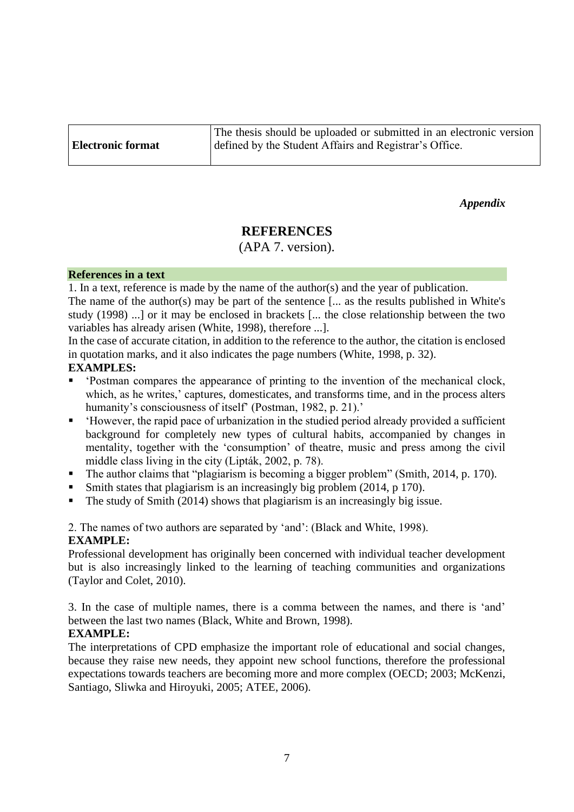|                          | The thesis should be uploaded or submitted in an electronic version |
|--------------------------|---------------------------------------------------------------------|
| <b>Electronic format</b> | defined by the Student Affairs and Registrar's Office.              |

*Appendix*

# **REFERENCES**

(APA 7. version).

#### **References in a text**

1. In a text, reference is made by the name of the author(s) and the year of publication.

The name of the author(s) may be part of the sentence [... as the results published in White's study (1998) ...] or it may be enclosed in brackets [... the close relationship between the two variables has already arisen (White, 1998), therefore ...].

In the case of accurate citation, in addition to the reference to the author, the citation is enclosed in quotation marks, and it also indicates the page numbers (White, 1998, p. 32).

## **EXAMPLES:**

- 'Postman compares the appearance of printing to the invention of the mechanical clock, which, as he writes,' captures, domesticates, and transforms time, and in the process alters humanity's consciousness of itself' (Postman, 1982, p. 21).'
- 'However, the rapid pace of urbanization in the studied period already provided a sufficient background for completely new types of cultural habits, accompanied by changes in mentality, together with the 'consumption' of theatre, music and press among the civil middle class living in the city (Lipták, 2002, p. 78).
- The author claims that "plagiarism is becoming a bigger problem" (Smith, 2014, p. 170).
- Smith states that plagiarism is an increasingly big problem (2014, p 170).
- The study of Smith (2014) shows that plagiarism is an increasingly big issue.

2. The names of two authors are separated by 'and': (Black and White, 1998). **EXAMPLE:**

Professional development has originally been concerned with individual teacher development but is also increasingly linked to the learning of teaching communities and organizations (Taylor and Colet, 2010).

3. In the case of multiple names, there is a comma between the names, and there is 'and' between the last two names (Black, White and Brown, 1998).

## **EXAMPLE:**

The interpretations of CPD emphasize the important role of educational and social changes, because they raise new needs, they appoint new school functions, therefore the professional expectations towards teachers are becoming more and more complex (OECD; 2003; McKenzi, Santiago, Sliwka and Hiroyuki, 2005; ATEE, 2006).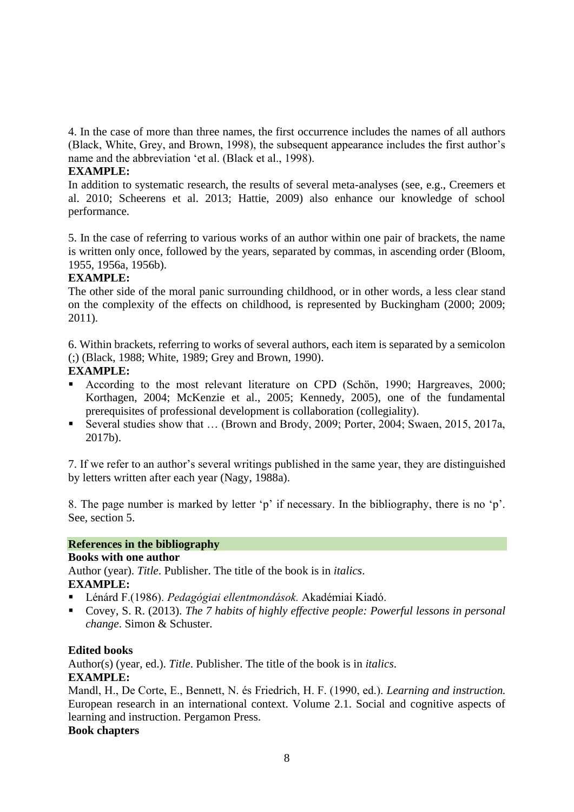4. In the case of more than three names, the first occurrence includes the names of all authors (Black, White, Grey, and Brown, 1998), the subsequent appearance includes the first author's name and the abbreviation 'et al. (Black et al., 1998).

## **EXAMPLE:**

In addition to systematic research, the results of several meta-analyses (see, e.g., Creemers et al. 2010; Scheerens et al. 2013; Hattie, 2009) also enhance our knowledge of school performance.

5. In the case of referring to various works of an author within one pair of brackets, the name is written only once, followed by the years, separated by commas, in ascending order (Bloom, 1955, 1956a, 1956b).

## **EXAMPLE:**

The other side of the moral panic surrounding childhood, or in other words, a less clear stand on the complexity of the effects on childhood, is represented by Buckingham (2000; 2009; 2011).

6. Within brackets, referring to works of several authors, each item is separated by a semicolon (;) (Black, 1988; White, 1989; Grey and Brown, 1990).

## **EXAMPLE:**

- According to the most relevant literature on CPD (Schön, 1990; Hargreaves, 2000; Korthagen, 2004; McKenzie et al., 2005; Kennedy, 2005), one of the fundamental prerequisites of professional development is collaboration (collegiality).
- Several studies show that ... (Brown and Brody, 2009; Porter, 2004; Swaen, 2015, 2017a, 2017b).

7. If we refer to an author's several writings published in the same year, they are distinguished by letters written after each year (Nagy, 1988a).

8. The page number is marked by letter 'p' if necessary. In the bibliography, there is no 'p'. See, section 5.

# **References in the bibliography**

## **Books with one author**

Author (year). *Title*. Publisher. The title of the book is in *italics*. **EXAMPLE:** 

- Lénárd F.(1986). *Pedagógiai ellentmondások.* Akadémiai Kiadó.
- Covey, S. R. (2013). *The 7 habits of highly effective people: Powerful lessons in personal change*. Simon & Schuster.

## **Edited books**

Author(s) (year, ed.). *Title*. Publisher. The title of the book is in *italics*.

## **EXAMPLE:**

Mandl, H., De Corte, E., Bennett, N. és Friedrich, H. F. (1990, ed.). *Learning and instruction.*  European research in an international context. Volume 2.1. Social and cognitive aspects of learning and instruction. Pergamon Press.

# **Book chapters**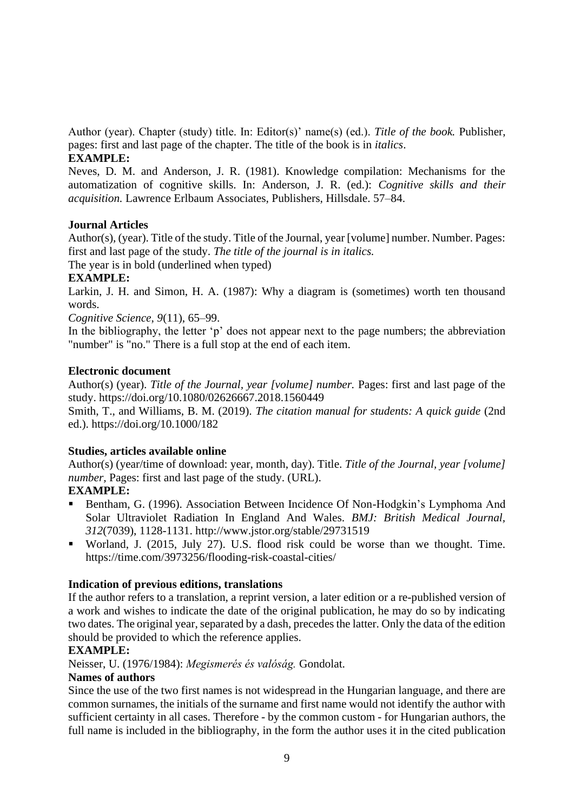Author (year). Chapter (study) title. In: Editor(s)' name(s) (ed.). *Title of the book.* Publisher, pages: first and last page of the chapter. The title of the book is in *italics*.

# **EXAMPLE:**

Neves, D. M. and Anderson, J. R. (1981). Knowledge compilation: Mechanisms for the automatization of cognitive skills. In: Anderson, J. R. (ed.): *Cognitive skills and their acquisition.* Lawrence Erlbaum Associates, Publishers, Hillsdale. 57–84.

# **Journal Articles**

Author(s), (year). Title of the study. Title of the Journal, year [volume] number. Number. Pages: first and last page of the study. *The title of the journal is in italics.*

The year is in bold (underlined when typed)

# **EXAMPLE:**

Larkin, J. H. and Simon, H. A. (1987): Why a diagram is (sometimes) worth ten thousand words.

*Cognitive Science*, *9*(11), 65–99.

In the bibliography, the letter 'p' does not appear next to the page numbers; the abbreviation "number" is "no." There is a full stop at the end of each item.

## **Electronic document**

Author(s) (year). *Title of the Journal, year [volume] number.* Pages: first and last page of the study. https://doi.org/10.1080/02626667.2018.1560449

Smith, T., and Williams, B. M. (2019). *The citation manual for students: A quick guide* (2nd ed.). https://doi.org/10.1000/182

# **Studies, articles available online**

Author(s) (year/time of download: year, month, day). Title. *Title of the Journal, year [volume] number,* Pages: first and last page of the study. (URL).

# **EXAMPLE:**

- Bentham, G. (1996). Association Between Incidence Of Non-Hodgkin's Lymphoma And Solar Ultraviolet Radiation In England And Wales. *BMJ: British Medical Journal, 312*(7039), 1128-1131. http://www.jstor.org/stable/29731519
- Worland, J. (2015, July 27). U.S. flood risk could be worse than we thought. Time. https://time.com/3973256/flooding-risk-coastal-cities/

# **Indication of previous editions, translations**

If the author refers to a translation, a reprint version, a later edition or a re-published version of a work and wishes to indicate the date of the original publication, he may do so by indicating two dates. The original year, separated by a dash, precedes the latter. Only the data of the edition should be provided to which the reference applies.

# **EXAMPLE:**

Neisser, U. (1976/1984): *Megismerés és valóság.* Gondolat.

# **Names of authors**

Since the use of the two first names is not widespread in the Hungarian language, and there are common surnames, the initials of the surname and first name would not identify the author with sufficient certainty in all cases. Therefore - by the common custom - for Hungarian authors, the full name is included in the bibliography, in the form the author uses it in the cited publication